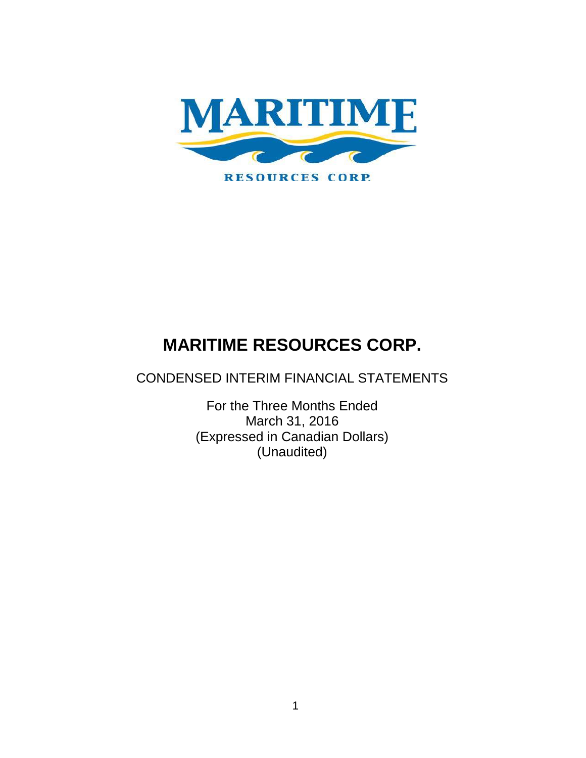

CONDENSED INTERIM FINANCIAL STATEMENTS

For the Three Months Ended March 31, 2016 (Expressed in Canadian Dollars) (Unaudited)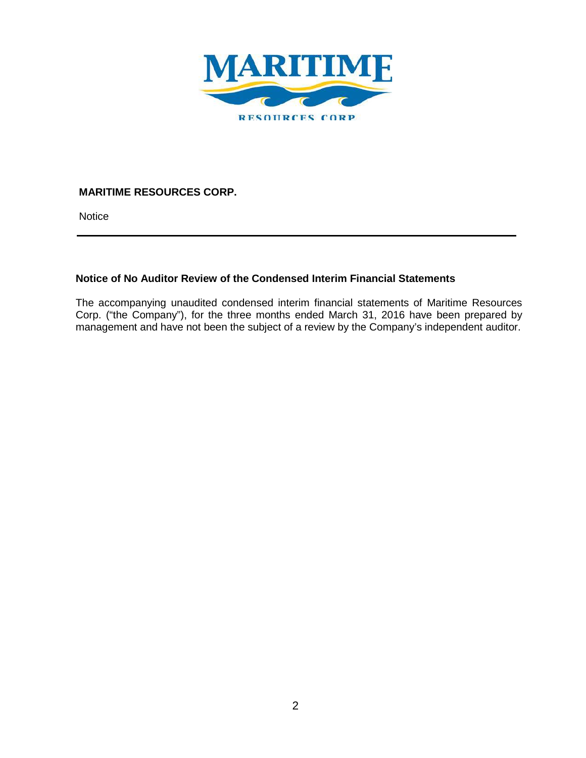

**Notice** 

## **Notice of No Auditor Review of the Condensed Interim Financial Statements**

The accompanying unaudited condensed interim financial statements of Maritime Resources Corp. ("the Company"), for the three months ended March 31, 2016 have been prepared by management and have not been the subject of a review by the Company's independent auditor.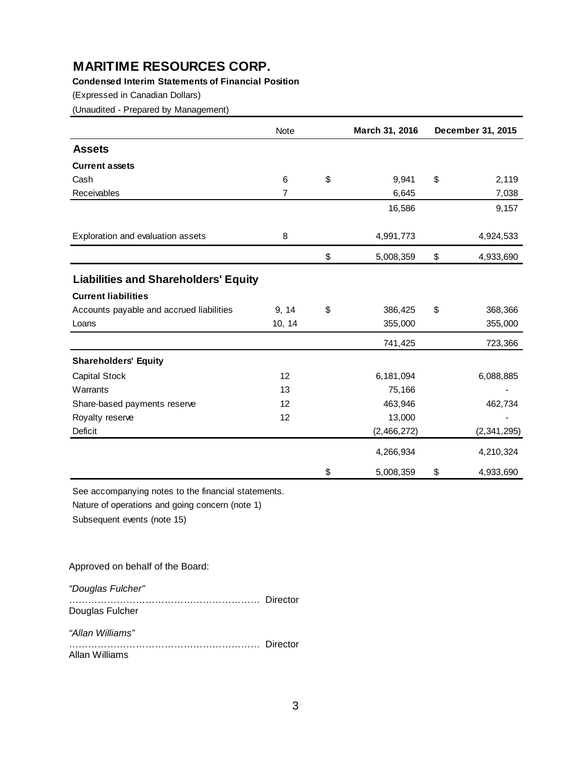## **Condensed Interim Statements of Financial Position**

(Expressed in Canadian Dollars)

(Unaudited - Prepared by Management)

|                                             | Note           | March 31, 2016  | December 31, 2015 |
|---------------------------------------------|----------------|-----------------|-------------------|
| <b>Assets</b>                               |                |                 |                   |
| <b>Current assets</b>                       |                |                 |                   |
| Cash                                        | 6              | \$<br>9,941     | \$<br>2,119       |
| Receivables                                 | $\overline{7}$ | 6,645           | 7,038             |
|                                             |                | 16,586          | 9,157             |
| Exploration and evaluation assets           | 8              | 4,991,773       | 4,924,533         |
|                                             |                | \$<br>5,008,359 | \$<br>4,933,690   |
| <b>Liabilities and Shareholders' Equity</b> |                |                 |                   |
| <b>Current liabilities</b>                  |                |                 |                   |
| Accounts payable and accrued liabilities    | 9, 14          | \$<br>386,425   | \$<br>368,366     |
| Loans                                       | 10, 14         | 355,000         | 355,000           |
|                                             |                | 741,425         | 723,366           |
| <b>Shareholders' Equity</b>                 |                |                 |                   |
| Capital Stock                               | 12             | 6,181,094       | 6,088,885         |
| Warrants                                    | 13             | 75,166          |                   |
| Share-based payments reserve                | 12             | 463,946         | 462,734           |
| Royalty reserve                             | 12             | 13,000          |                   |
| Deficit                                     |                | (2,466,272)     | (2, 341, 295)     |
|                                             |                | 4,266,934       | 4,210,324         |
|                                             |                | \$<br>5,008,359 | \$<br>4,933,690   |

See accompanying notes to the financial statements.

Nature of operations and going concern (note 1)

Subsequent events (note 15)

#### Approved on behalf of the Board:

*"Douglas Fulcher"*

…………………………………………………… Director Douglas Fulcher

*"Allan Williams"*

…………………………………………………… Director Allan Williams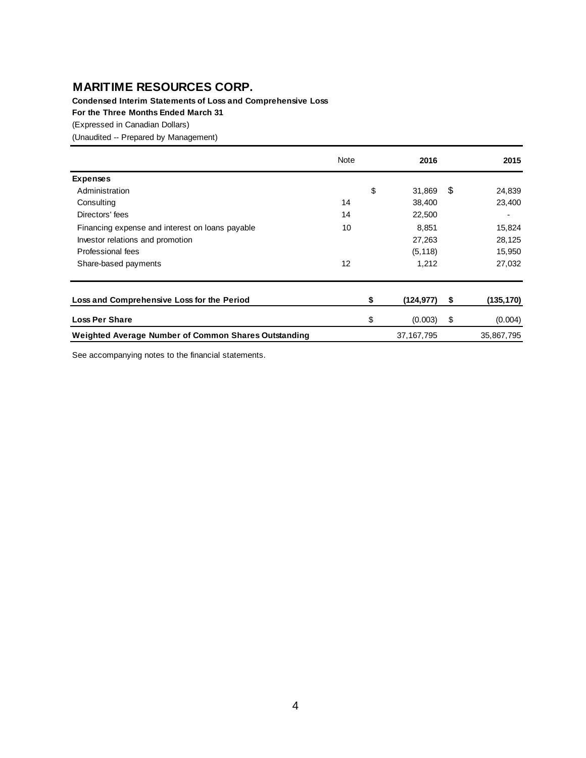**Condensed Interim Statements of Loss and Comprehensive Loss**

**For the Three Months Ended March 31**

(Expressed in Canadian Dollars)

(Unaudited -- Prepared by Management)

|                                                      | Note | 2016             |      | 2015       |
|------------------------------------------------------|------|------------------|------|------------|
| <b>Expenses</b>                                      |      |                  |      |            |
| Administration                                       |      | \$<br>31,869     | - \$ | 24,839     |
| Consulting                                           | 14   | 38,400           |      | 23,400     |
| Directors' fees                                      | 14   | 22,500           |      |            |
| Financing expense and interest on loans payable      | 10   | 8,851            |      | 15,824     |
| Investor relations and promotion                     |      | 27,263           |      | 28,125     |
| Professional fees                                    |      | (5, 118)         |      | 15,950     |
| Share-based payments                                 | 12   | 1,212            |      | 27,032     |
|                                                      |      |                  |      |            |
| Loss and Comprehensive Loss for the Period           |      | \$<br>(124, 977) | \$   | (135, 170) |
| <b>Loss Per Share</b>                                |      | \$<br>(0.003)    | \$   | (0.004)    |
| Weighted Average Number of Common Shares Outstanding |      | 37, 167, 795     |      | 35,867,795 |

See accompanying notes to the financial statements.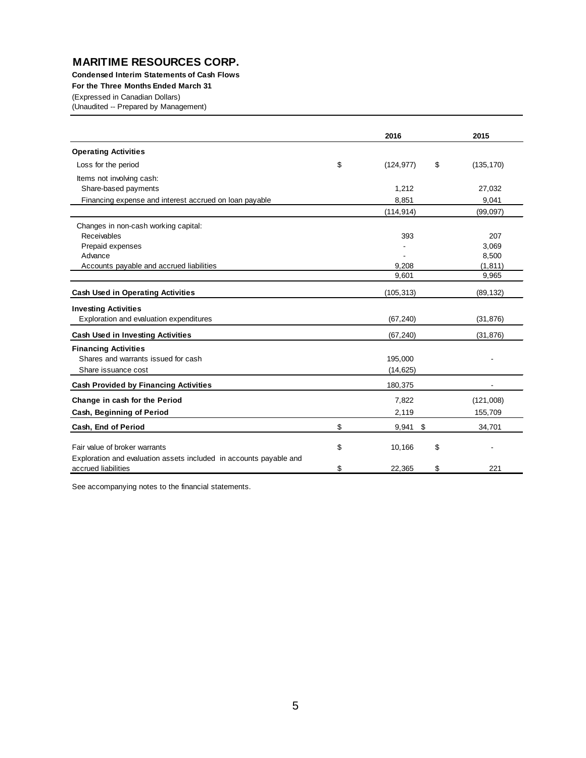**Condensed Interim Statements of Cash Flows**

**For the Three Months Ended March 31**

(Expressed in Canadian Dollars)

(Unaudited -- Prepared by Management)

|                                                                                           | 2016                   | 2015           |
|-------------------------------------------------------------------------------------------|------------------------|----------------|
| <b>Operating Activities</b>                                                               |                        |                |
| Loss for the period                                                                       | \$<br>\$<br>(124, 977) | (135, 170)     |
| Items not involving cash:                                                                 |                        |                |
| Share-based payments                                                                      | 1,212                  | 27,032         |
| Financing expense and interest accrued on loan payable                                    | 8,851                  | 9,041          |
|                                                                                           | (114, 914)             | (99,097)       |
| Changes in non-cash working capital:                                                      |                        |                |
| Receivables                                                                               | 393                    | 207            |
| Prepaid expenses                                                                          |                        | 3,069          |
| Advance                                                                                   |                        | 8,500          |
| Accounts payable and accrued liabilities                                                  | 9,208                  | (1, 811)       |
|                                                                                           | 9,601                  | 9,965          |
| <b>Cash Used in Operating Activities</b>                                                  | (105, 313)             | (89, 132)      |
| <b>Investing Activities</b>                                                               |                        |                |
| Exploration and evaluation expenditures                                                   | (67, 240)              | (31, 876)      |
| <b>Cash Used in Investing Activities</b>                                                  | (67, 240)              | (31, 876)      |
| <b>Financing Activities</b>                                                               |                        |                |
| Shares and warrants issued for cash                                                       | 195,000                |                |
| Share issuance cost                                                                       | (14, 625)              |                |
| <b>Cash Provided by Financing Activities</b>                                              | 180,375                |                |
| Change in cash for the Period                                                             | 7,822                  | (121,008)      |
| Cash, Beginning of Period                                                                 | 2,119                  | 155,709        |
| Cash, End of Period                                                                       | \$<br>$9,941$ \$       | 34,701         |
| Fair value of broker warrants                                                             |                        |                |
|                                                                                           | \$<br>10,166<br>\$     | $\blacksquare$ |
| Exploration and evaluation assets included in accounts payable and<br>accrued liabilities | \$<br>\$<br>22.365     | 221            |

See accompanying notes to the financial statements.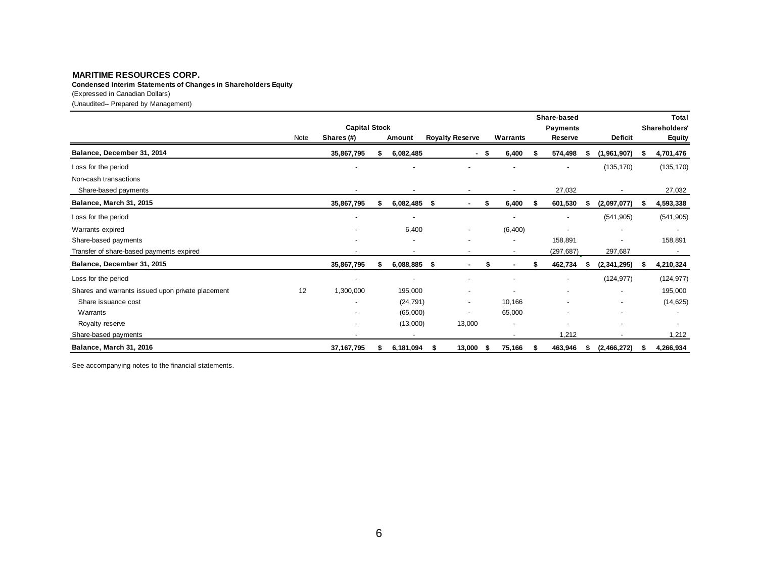(Expressed in Canadian Dollars) **Condensed Interim Statements of Changes in Shareholders Equity**

(Unaudited-- Prepared by Management)

|                                                   | Note | <b>Capital Stock</b><br>Shares (#) | Amount         |      | <b>Royalty Reserve</b>   |      | Warrants                 | Share-based<br><b>Payments</b><br>Reserve | <b>Deficit</b>           |    | <b>Total</b><br>Shareholders'<br><b>Equity</b> |
|---------------------------------------------------|------|------------------------------------|----------------|------|--------------------------|------|--------------------------|-------------------------------------------|--------------------------|----|------------------------------------------------|
| Balance, December 31, 2014                        |      | 35,867,795                         | 6,082,485      |      | $\sim$                   | - \$ | 6,400                    | \$<br>574,498                             | (1,961,907)              |    | 4,701,476                                      |
| Loss for the period                               |      |                                    |                |      |                          |      |                          | $\overline{\phantom{a}}$                  | (135, 170)               |    | (135, 170)                                     |
| Non-cash transactions<br>Share-based payments     |      |                                    | $\blacksquare$ |      |                          |      | $\overline{\phantom{a}}$ | 27,032                                    |                          |    | 27,032                                         |
| Balance, March 31, 2015                           |      | 35,867,795                         | 6,082,485      | - \$ | ٠                        | S    | 6,400                    | 601,530                                   | (2,097,077)              |    | 4,593,338                                      |
| Loss for the period                               |      | $\blacksquare$                     | $\blacksquare$ |      |                          |      | ٠                        | $\overline{\phantom{a}}$                  | (541, 905)               |    | (541, 905)                                     |
| Warrants expired                                  |      |                                    | 6,400          |      |                          |      | (6, 400)                 |                                           |                          |    | $\overline{\phantom{a}}$                       |
| Share-based payments                              |      | $\overline{\phantom{a}}$           | $\blacksquare$ |      | $\overline{\phantom{a}}$ |      | $\blacksquare$           | 158,891                                   |                          |    | 158,891                                        |
| Transfer of share-based payments expired          |      |                                    |                |      |                          |      |                          | (297, 687)                                | 297,687                  |    | $\sim$                                         |
| Balance, December 31, 2015                        |      | 35,867,795                         | 6,088,885      | - \$ |                          |      |                          | 462,734                                   | (2, 341, 295)            | 5. | 4,210,324                                      |
| Loss for the period                               |      | $\overline{\phantom{a}}$           |                |      |                          |      |                          | $\blacksquare$                            | (124, 977)               |    | (124, 977)                                     |
| Shares and warrants issued upon private placement | 12   | 1,300,000                          | 195,000        |      |                          |      |                          |                                           |                          |    | 195,000                                        |
| Share issuance cost                               |      | $\overline{\phantom{a}}$           | (24, 791)      |      | $\overline{\phantom{a}}$ |      | 10,166                   |                                           | $\overline{\phantom{a}}$ |    | (14, 625)                                      |
| Warrants                                          |      |                                    | (65,000)       |      |                          |      | 65,000                   |                                           |                          |    |                                                |
| Royalty reserve                                   |      |                                    | (13,000)       |      | 13,000                   |      |                          |                                           |                          |    |                                                |
| Share-based payments                              |      | $\overline{\phantom{a}}$           | $\blacksquare$ |      |                          |      | $\blacksquare$           | 1,212                                     | $\overline{\phantom{a}}$ |    | 1,212                                          |
| Balance, March 31, 2016                           |      | 37, 167, 795                       | 6,181,094      |      | 13,000                   |      | 75,166                   | 463,946                                   | (2,466,272)              |    | 4,266,934                                      |

See accompanying notes to the financial statements.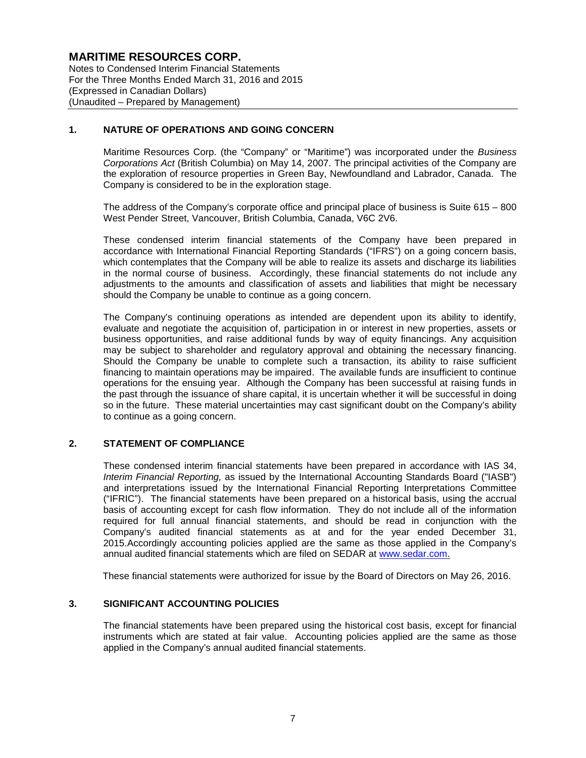Notes to Condensed Interim Financial Statements For the Three Months Ended March 31, 2016 and 2015 (Expressed in Canadian Dollars) (Unaudited – Prepared by Management)

#### **1. NATURE OF OPERATIONS AND GOING CONCERN**

Maritime Resources Corp. (the "Company" or "Maritime") was incorporated under the *Business Corporations Act* (British Columbia) on May 14, 2007. The principal activities of the Company are the exploration of resource properties in Green Bay, Newfoundland and Labrador, Canada. The Company is considered to be in the exploration stage.

The address of the Company's corporate office and principal place of business is Suite 615 – 800 West Pender Street, Vancouver, British Columbia, Canada, V6C 2V6.

These condensed interim financial statements of the Company have been prepared in accordance with International Financial Reporting Standards ("IFRS") on a going concern basis, which contemplates that the Company will be able to realize its assets and discharge its liabilities in the normal course of business. Accordingly, these financial statements do not include any adjustments to the amounts and classification of assets and liabilities that might be necessary should the Company be unable to continue as a going concern.

The Company's continuing operations as intended are dependent upon its ability to identify, evaluate and negotiate the acquisition of, participation in or interest in new properties, assets or business opportunities, and raise additional funds by way of equity financings. Any acquisition may be subject to shareholder and regulatory approval and obtaining the necessary financing. Should the Company be unable to complete such a transaction, its ability to raise sufficient financing to maintain operations may be impaired. The available funds are insufficient to continue operations for the ensuing year. Although the Company has been successful at raising funds in the past through the issuance of share capital, it is uncertain whether it will be successful in doing so in the future. These material uncertainties may cast significant doubt on the Company's ability to continue as a going concern.

#### **2. STATEMENT OF COMPLIANCE**

These condensed interim financial statements have been prepared in accordance with IAS 34, *Interim Financial Reporting,* as issued by the International Accounting Standards Board ("IASB") and interpretations issued by the International Financial Reporting Interpretations Committee ("IFRIC"). The financial statements have been prepared on a historical basis, using the accrual basis of accounting except for cash flow information. They do not include all of the information required for full annual financial statements, and should be read in conjunction with the Company's audited financial statements as at and for the year ended December 31, 2015.Accordingly accounting policies applied are the same as those applied in the Company's annual audited financial statements which are filed on SEDAR at www.sedar.com.

These financial statements were authorized for issue by the Board of Directors on May 26, 2016.

#### **3. SIGNIFICANT ACCOUNTING POLICIES**

The financial statements have been prepared using the historical cost basis, except for financial instruments which are stated at fair value. Accounting policies applied are the same as those applied in the Company's annual audited financial statements.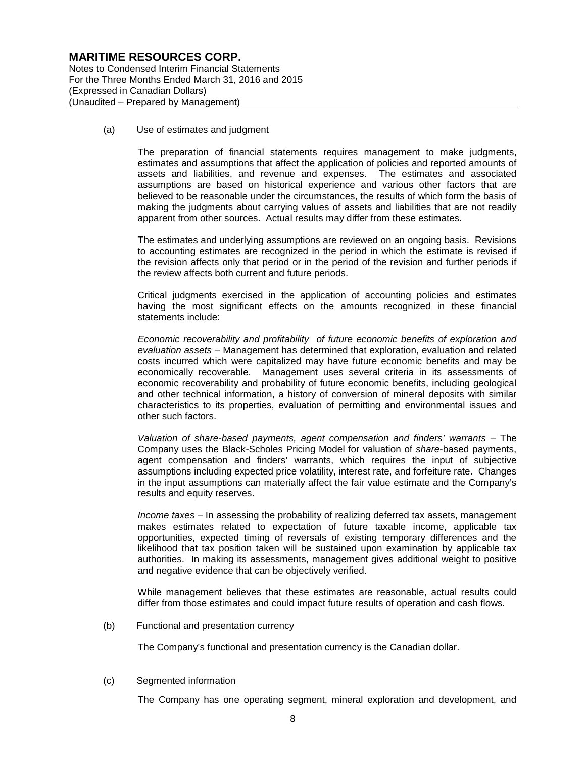Notes to Condensed Interim Financial Statements For the Three Months Ended March 31, 2016 and 2015 (Expressed in Canadian Dollars) (Unaudited – Prepared by Management)

(a) Use of estimates and judgment

The preparation of financial statements requires management to make judgments, estimates and assumptions that affect the application of policies and reported amounts of assets and liabilities, and revenue and expenses. The estimates and associated assumptions are based on historical experience and various other factors that are believed to be reasonable under the circumstances, the results of which form the basis of making the judgments about carrying values of assets and liabilities that are not readily apparent from other sources. Actual results may differ from these estimates.

The estimates and underlying assumptions are reviewed on an ongoing basis. Revisions to accounting estimates are recognized in the period in which the estimate is revised if the revision affects only that period or in the period of the revision and further periods if the review affects both current and future periods.

Critical judgments exercised in the application of accounting policies and estimates having the most significant effects on the amounts recognized in these financial statements include:

*Economic recoverability and profitability of future economic benefits of exploration and evaluation assets* – Management has determined that exploration, evaluation and related costs incurred which were capitalized may have future economic benefits and may be economically recoverable. Management uses several criteria in its assessments of economic recoverability and probability of future economic benefits, including geological and other technical information, a history of conversion of mineral deposits with similar characteristics to its properties, evaluation of permitting and environmental issues and other such factors.

*Valuation of share-based payments, agent compensation and finders' warrants* – The Company uses the Black-Scholes Pricing Model for valuation of *share*-based payments, agent compensation and finders' warrants, which requires the input of subjective assumptions including expected price volatility, interest rate, and forfeiture rate. Changes in the input assumptions can materially affect the fair value estimate and the Company's results and equity reserves.

*Income taxes* – In assessing the probability of realizing deferred tax assets, management makes estimates related to expectation of future taxable income, applicable tax opportunities, expected timing of reversals of existing temporary differences and the likelihood that tax position taken will be sustained upon examination by applicable tax authorities. In making its assessments, management gives additional weight to positive and negative evidence that can be objectively verified.

While management believes that these estimates are reasonable, actual results could differ from those estimates and could impact future results of operation and cash flows.

(b) Functional and presentation currency

The Company's functional and presentation currency is the Canadian dollar.

(c) Segmented information

The Company has one operating segment, mineral exploration and development, and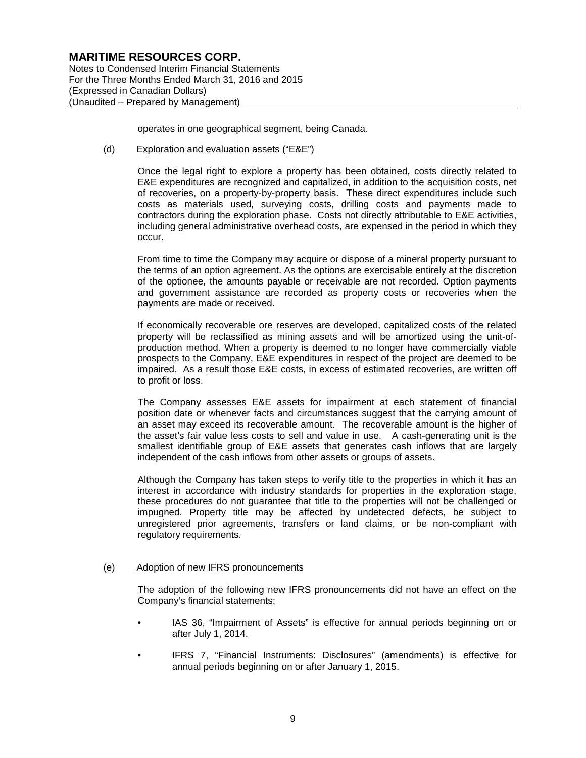Notes to Condensed Interim Financial Statements For the Three Months Ended March 31, 2016 and 2015 (Expressed in Canadian Dollars) (Unaudited – Prepared by Management)

operates in one geographical segment, being Canada.

(d) Exploration and evaluation assets ("E&E")

Once the legal right to explore a property has been obtained, costs directly related to E&E expenditures are recognized and capitalized, in addition to the acquisition costs, net of recoveries, on a property-by-property basis. These direct expenditures include such costs as materials used, surveying costs, drilling costs and payments made to contractors during the exploration phase. Costs not directly attributable to E&E activities, including general administrative overhead costs, are expensed in the period in which they occur.

From time to time the Company may acquire or dispose of a mineral property pursuant to the terms of an option agreement. As the options are exercisable entirely at the discretion of the optionee, the amounts payable or receivable are not recorded. Option payments and government assistance are recorded as property costs or recoveries when the payments are made or received.

If economically recoverable ore reserves are developed, capitalized costs of the related property will be reclassified as mining assets and will be amortized using the unit-ofproduction method. When a property is deemed to no longer have commercially viable prospects to the Company, E&E expenditures in respect of the project are deemed to be impaired. As a result those E&E costs, in excess of estimated recoveries, are written off to profit or loss.

The Company assesses E&E assets for impairment at each statement of financial position date or whenever facts and circumstances suggest that the carrying amount of an asset may exceed its recoverable amount. The recoverable amount is the higher of the asset's fair value less costs to sell and value in use. A cash-generating unit is the smallest identifiable group of E&E assets that generates cash inflows that are largely independent of the cash inflows from other assets or groups of assets.

Although the Company has taken steps to verify title to the properties in which it has an interest in accordance with industry standards for properties in the exploration stage, these procedures do not guarantee that title to the properties will not be challenged or impugned. Property title may be affected by undetected defects, be subject to unregistered prior agreements, transfers or land claims, or be non-compliant with regulatory requirements.

(e) Adoption of new IFRS pronouncements

The adoption of the following new IFRS pronouncements did not have an effect on the Company's financial statements:

- IAS 36, "Impairment of Assets" is effective for annual periods beginning on or after July 1, 2014.
- IFRS 7, "Financial Instruments: Disclosures" (amendments) is effective for annual periods beginning on or after January 1, 2015.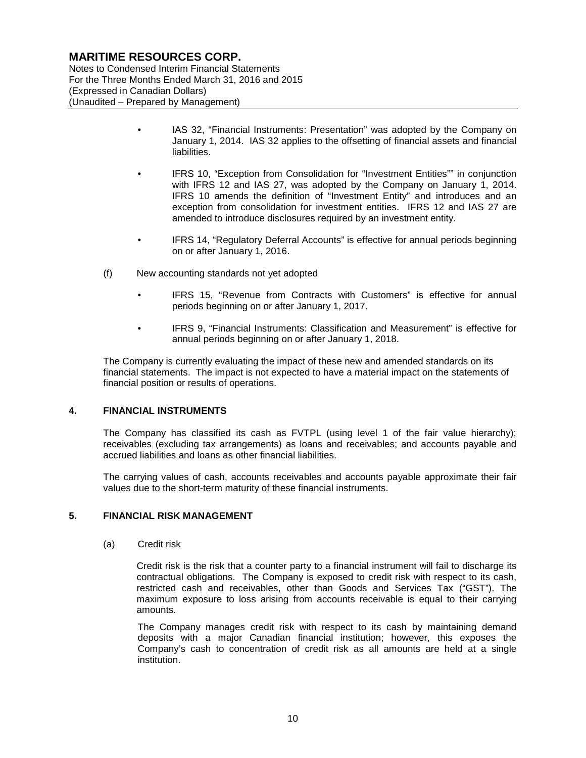Notes to Condensed Interim Financial Statements For the Three Months Ended March 31, 2016 and 2015 (Expressed in Canadian Dollars) (Unaudited – Prepared by Management)

- IAS 32, "Financial Instruments: Presentation" was adopted by the Company on January 1, 2014. IAS 32 applies to the offsetting of financial assets and financial liabilities.
- IFRS 10, "Exception from Consolidation for "Investment Entities"" in conjunction with IFRS 12 and IAS 27, was adopted by the Company on January 1, 2014. IFRS 10 amends the definition of "Investment Entity" and introduces and an exception from consolidation for investment entities. IFRS 12 and IAS 27 are amended to introduce disclosures required by an investment entity.
- IFRS 14, "Regulatory Deferral Accounts" is effective for annual periods beginning on or after January 1, 2016.
- (f) New accounting standards not yet adopted
	- IFRS 15, "Revenue from Contracts with Customers" is effective for annual periods beginning on or after January 1, 2017.
	- IFRS 9, "Financial Instruments: Classification and Measurement" is effective for annual periods beginning on or after January 1, 2018.

The Company is currently evaluating the impact of these new and amended standards on its financial statements. The impact is not expected to have a material impact on the statements of financial position or results of operations.

#### **4. FINANCIAL INSTRUMENTS**

The Company has classified its cash as FVTPL (using level 1 of the fair value hierarchy); receivables (excluding tax arrangements) as loans and receivables; and accounts payable and accrued liabilities and loans as other financial liabilities.

The carrying values of cash, accounts receivables and accounts payable approximate their fair values due to the short-term maturity of these financial instruments.

#### **5. FINANCIAL RISK MANAGEMENT**

(a) Credit risk

Credit risk is the risk that a counter party to a financial instrument will fail to discharge its contractual obligations. The Company is exposed to credit risk with respect to its cash, restricted cash and receivables, other than Goods and Services Tax ("GST"). The maximum exposure to loss arising from accounts receivable is equal to their carrying amounts.

The Company manages credit risk with respect to its cash by maintaining demand deposits with a major Canadian financial institution; however, this exposes the Company's cash to concentration of credit risk as all amounts are held at a single institution.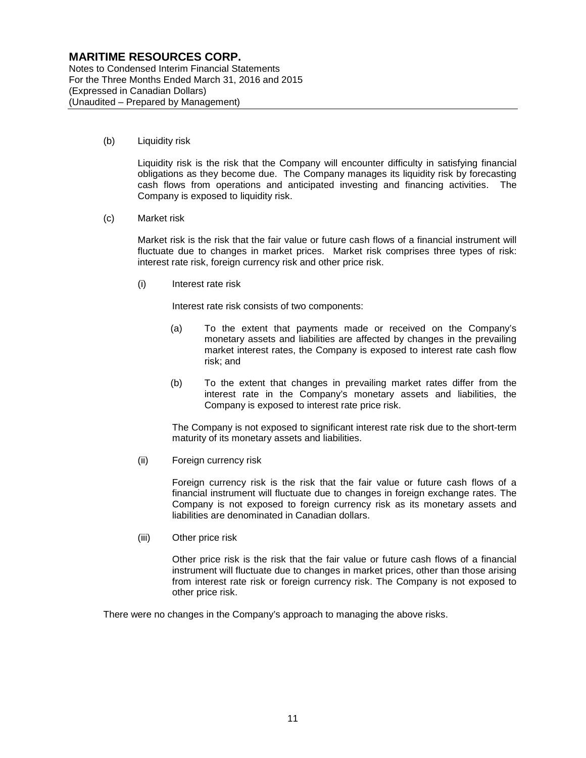Notes to Condensed Interim Financial Statements For the Three Months Ended March 31, 2016 and 2015 (Expressed in Canadian Dollars) (Unaudited – Prepared by Management)

(b) Liquidity risk

Liquidity risk is the risk that the Company will encounter difficulty in satisfying financial obligations as they become due. The Company manages its liquidity risk by forecasting cash flows from operations and anticipated investing and financing activities. The Company is exposed to liquidity risk.

(c) Market risk

Market risk is the risk that the fair value or future cash flows of a financial instrument will fluctuate due to changes in market prices. Market risk comprises three types of risk: interest rate risk, foreign currency risk and other price risk.

(i) Interest rate risk

Interest rate risk consists of two components:

- (a) To the extent that payments made or received on the Company's monetary assets and liabilities are affected by changes in the prevailing market interest rates, the Company is exposed to interest rate cash flow risk; and
- (b) To the extent that changes in prevailing market rates differ from the interest rate in the Company's monetary assets and liabilities, the Company is exposed to interest rate price risk.

The Company is not exposed to significant interest rate risk due to the short-term maturity of its monetary assets and liabilities.

(ii) Foreign currency risk

Foreign currency risk is the risk that the fair value or future cash flows of a financial instrument will fluctuate due to changes in foreign exchange rates. The Company is not exposed to foreign currency risk as its monetary assets and liabilities are denominated in Canadian dollars.

(iii) Other price risk

Other price risk is the risk that the fair value or future cash flows of a financial instrument will fluctuate due to changes in market prices, other than those arising from interest rate risk or foreign currency risk. The Company is not exposed to other price risk.

There were no changes in the Company's approach to managing the above risks.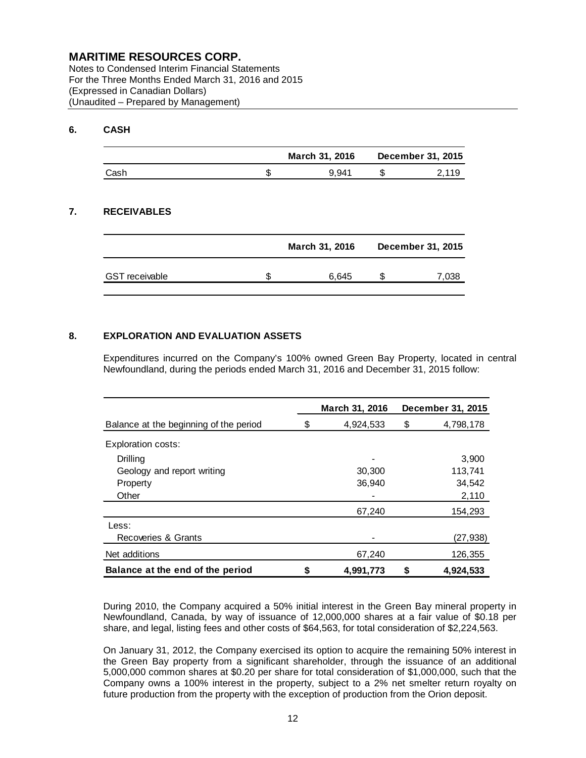Notes to Condensed Interim Financial Statements For the Three Months Ended March 31, 2016 and 2015 (Expressed in Canadian Dollars) (Unaudited – Prepared by Management)

#### **6. CASH**

|      | March 31, 2016 | December 31, 2015 |
|------|----------------|-------------------|
| Cash | 9.941          | 2.119             |

## **7. RECEIVABLES**

|                       | March 31, 2016 | December 31, 2015 |
|-----------------------|----------------|-------------------|
| <b>GST</b> receivable | 6.645          | 7.038             |

#### **8. EXPLORATION AND EVALUATION ASSETS**

Expenditures incurred on the Company's 100% owned Green Bay Property, located in central Newfoundland, during the periods ended March 31, 2016 and December 31, 2015 follow:

|                                        |   | March 31, 2016 |    | December 31, 2015 |
|----------------------------------------|---|----------------|----|-------------------|
| Balance at the beginning of the period | S | 4,924,533      | \$ | 4,798,178         |
| <b>Exploration costs:</b>              |   |                |    |                   |
| Drilling                               |   |                |    | 3.900             |
| Geology and report writing             |   | 30,300         |    | 113,741           |
| Property                               |   | 36,940         |    | 34,542            |
| Other                                  |   |                |    | 2,110             |
|                                        |   | 67,240         |    | 154,293           |
| Less:                                  |   |                |    |                   |
| Recoveries & Grants                    |   |                |    | (27,938)          |
| Net additions                          |   | 67,240         |    | 126,355           |
| Balance at the end of the period       |   | 4,991,773      | S  | 4.924.533         |

During 2010, the Company acquired a 50% initial interest in the Green Bay mineral property in Newfoundland, Canada, by way of issuance of 12,000,000 shares at a fair value of \$0.18 per share, and legal, listing fees and other costs of \$64,563, for total consideration of \$2,224,563.

On January 31, 2012, the Company exercised its option to acquire the remaining 50% interest in the Green Bay property from a significant shareholder, through the issuance of an additional 5,000,000 common shares at \$0.20 per share for total consideration of \$1,000,000, such that the Company owns a 100% interest in the property, subject to a 2% net smelter return royalty on future production from the property with the exception of production from the Orion deposit.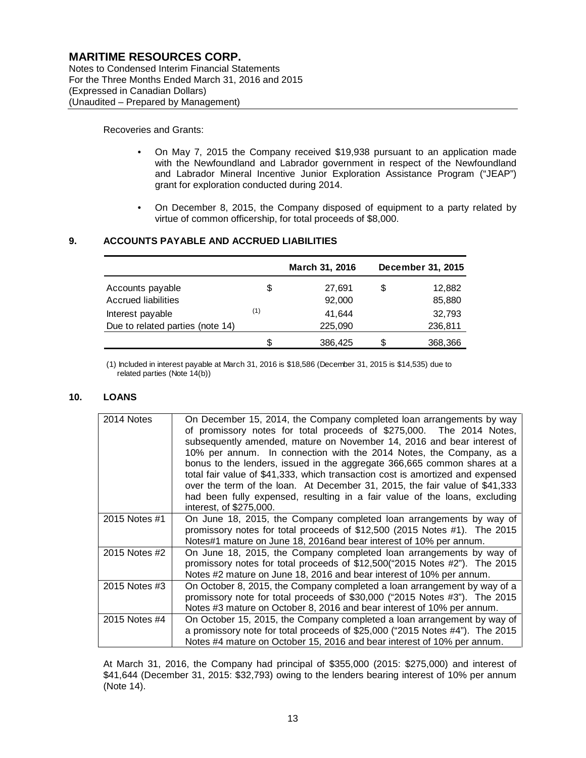Notes to Condensed Interim Financial Statements For the Three Months Ended March 31, 2016 and 2015 (Expressed in Canadian Dollars) (Unaudited – Prepared by Management)

Recoveries and Grants:

- On May 7, 2015 the Company received \$19,938 pursuant to an application made with the Newfoundland and Labrador government in respect of the Newfoundland and Labrador Mineral Incentive Junior Exploration Assistance Program ("JEAP") grant for exploration conducted during 2014.
- On December 8, 2015, the Company disposed of equipment to a party related by virtue of common officership, for total proceeds of \$8,000.

#### **9. ACCOUNTS PAYABLE AND ACCRUED LIABILITIES**

|                                  |     | March 31, 2016 |    | December 31, 2015 |
|----------------------------------|-----|----------------|----|-------------------|
| Accounts payable                 | \$  | 27,691         | \$ | 12,882            |
| <b>Accrued liabilities</b>       |     | 92,000         |    | 85,880            |
| Interest payable                 | (1) | 41,644         |    | 32,793            |
| Due to related parties (note 14) |     | 225,090        |    | 236,811           |
|                                  | S   | 386,425        | S. | 368,366           |

(1) Included in interest payable at March 31, 2016 is \$18,586 (December 31, 2015 is \$14,535) due to related parties (Note 14(b))

#### **10. LOANS**

| 2014 Notes    | On December 15, 2014, the Company completed loan arrangements by way<br>of promissory notes for total proceeds of \$275,000. The 2014 Notes,<br>subsequently amended, mature on November 14, 2016 and bear interest of<br>10% per annum. In connection with the 2014 Notes, the Company, as a<br>bonus to the lenders, issued in the aggregate 366,665 common shares at a<br>total fair value of \$41,333, which transaction cost is amortized and expensed<br>over the term of the loan. At December 31, 2015, the fair value of \$41,333<br>had been fully expensed, resulting in a fair value of the loans, excluding<br>interest, of \$275,000. |
|---------------|-----------------------------------------------------------------------------------------------------------------------------------------------------------------------------------------------------------------------------------------------------------------------------------------------------------------------------------------------------------------------------------------------------------------------------------------------------------------------------------------------------------------------------------------------------------------------------------------------------------------------------------------------------|
| 2015 Notes #1 | On June 18, 2015, the Company completed loan arrangements by way of<br>promissory notes for total proceeds of \$12,500 (2015 Notes #1). The 2015<br>Notes#1 mature on June 18, 2016and bear interest of 10% per annum.                                                                                                                                                                                                                                                                                                                                                                                                                              |
| 2015 Notes #2 | On June 18, 2015, the Company completed loan arrangements by way of<br>promissory notes for total proceeds of \$12,500("2015 Notes #2"). The 2015<br>Notes #2 mature on June 18, 2016 and bear interest of 10% per annum.                                                                                                                                                                                                                                                                                                                                                                                                                           |
| 2015 Notes #3 | On October 8, 2015, the Company completed a loan arrangement by way of a<br>promissory note for total proceeds of \$30,000 ("2015 Notes #3"). The 2015<br>Notes #3 mature on October 8, 2016 and bear interest of 10% per annum.                                                                                                                                                                                                                                                                                                                                                                                                                    |
| 2015 Notes #4 | On October 15, 2015, the Company completed a loan arrangement by way of<br>a promissory note for total proceeds of \$25,000 ("2015 Notes #4"). The 2015<br>Notes #4 mature on October 15, 2016 and bear interest of 10% per annum.                                                                                                                                                                                                                                                                                                                                                                                                                  |

At March 31, 2016, the Company had principal of \$355,000 (2015: \$275,000) and interest of \$41,644 (December 31, 2015: \$32,793) owing to the lenders bearing interest of 10% per annum (Note 14).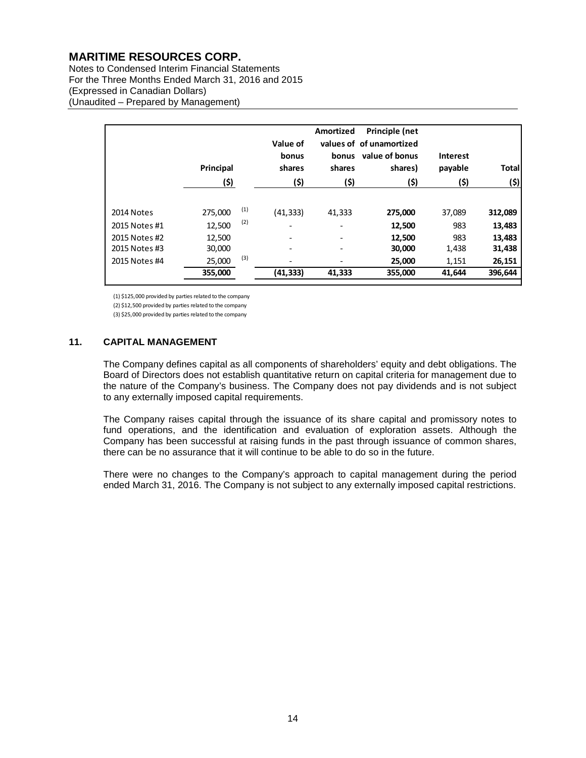Notes to Condensed Interim Financial Statements For the Three Months Ended March 31, 2016 and 2015 (Expressed in Canadian Dollars) (Unaudited – Prepared by Management)

|                                                               | Principal<br>(\$)                     |                   | Value of<br>bonus<br>shares<br>(\$)                               | Amortized<br>bonus<br>shares<br>(\$)                                                       | Principle (net<br>values of of unamortized<br>value of bonus<br>shares)<br>(\$) | <b>Interest</b><br>payable<br>(\$) | <b>Total</b><br>(\$)                  |
|---------------------------------------------------------------|---------------------------------------|-------------------|-------------------------------------------------------------------|--------------------------------------------------------------------------------------------|---------------------------------------------------------------------------------|------------------------------------|---------------------------------------|
| 2014 Notes<br>2015 Notes #1<br>2015 Notes #2<br>2015 Notes #3 | 275,000<br>12,500<br>12,500<br>30,000 | (1)<br>(2)<br>(3) | (41, 333)<br>$\overline{\phantom{a}}$<br>$\overline{\phantom{a}}$ | 41,333<br>$\overline{\phantom{0}}$<br>$\overline{\phantom{a}}$<br>$\overline{\phantom{a}}$ | 275,000<br>12,500<br>12,500<br>30,000                                           | 37,089<br>983<br>983<br>1,438      | 312,089<br>13,483<br>13,483<br>31,438 |
| 2015 Notes #4                                                 | 25,000<br>355,000                     |                   | (41,333)                                                          | 41,333                                                                                     | 25,000<br>355,000                                                               | 1,151<br>41,644                    | 26,151<br>396.644                     |

(1) \$125,000 provided by parties related to the company

(2) \$12,500 provided by parties related to the company

(3) \$25,000 provided by parties related to the company

#### **11. CAPITAL MANAGEMENT**

The Company defines capital as all components of shareholders' equity and debt obligations. The Board of Directors does not establish quantitative return on capital criteria for management due to the nature of the Company's business. The Company does not pay dividends and is not subject to any externally imposed capital requirements.

The Company raises capital through the issuance of its share capital and promissory notes to fund operations, and the identification and evaluation of exploration assets. Although the Company has been successful at raising funds in the past through issuance of common shares, there can be no assurance that it will continue to be able to do so in the future.

There were no changes to the Company's approach to capital management during the period ended March 31, 2016. The Company is not subject to any externally imposed capital restrictions.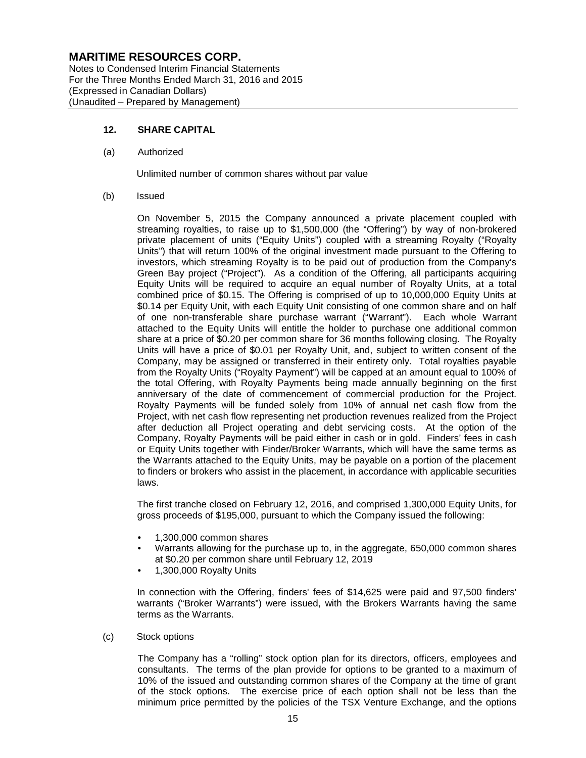Notes to Condensed Interim Financial Statements For the Three Months Ended March 31, 2016 and 2015 (Expressed in Canadian Dollars) (Unaudited – Prepared by Management)

#### **12. SHARE CAPITAL**

(a) Authorized

Unlimited number of common shares without par value

(b) Issued

On November 5, 2015 the Company announced a private placement coupled with streaming royalties, to raise up to \$1,500,000 (the "Offering") by way of non-brokered private placement of units ("Equity Units") coupled with a streaming Royalty ("Royalty Units") that will return 100% of the original investment made pursuant to the Offering to investors, which streaming Royalty is to be paid out of production from the Company's Green Bay project ("Project"). As a condition of the Offering, all participants acquiring Equity Units will be required to acquire an equal number of Royalty Units, at a total combined price of \$0.15. The Offering is comprised of up to 10,000,000 Equity Units at \$0.14 per Equity Unit, with each Equity Unit consisting of one common share and on half of one non-transferable share purchase warrant ("Warrant"). Each whole Warrant attached to the Equity Units will entitle the holder to purchase one additional common share at a price of \$0.20 per common share for 36 months following closing. The Royalty Units will have a price of \$0.01 per Royalty Unit, and, subject to written consent of the Company, may be assigned or transferred in their entirety only. Total royalties payable from the Royalty Units ("Royalty Payment") will be capped at an amount equal to 100% of the total Offering, with Royalty Payments being made annually beginning on the first anniversary of the date of commencement of commercial production for the Project. Royalty Payments will be funded solely from 10% of annual net cash flow from the Project, with net cash flow representing net production revenues realized from the Project after deduction all Project operating and debt servicing costs. At the option of the Company, Royalty Payments will be paid either in cash or in gold. Finders' fees in cash or Equity Units together with Finder/Broker Warrants, which will have the same terms as the Warrants attached to the Equity Units, may be payable on a portion of the placement to finders or brokers who assist in the placement, in accordance with applicable securities laws.

The first tranche closed on February 12, 2016, and comprised 1,300,000 Equity Units, for gross proceeds of \$195,000, pursuant to which the Company issued the following:

- 1,300,000 common shares
- Warrants allowing for the purchase up to, in the aggregate, 650,000 common shares at \$0.20 per common share until February 12, 2019
- 1,300,000 Royalty Units

In connection with the Offering, finders' fees of \$14,625 were paid and 97,500 finders' warrants ("Broker Warrants") were issued, with the Brokers Warrants having the same terms as the Warrants.

(c) Stock options

The Company has a "rolling" stock option plan for its directors, officers, employees and consultants. The terms of the plan provide for options to be granted to a maximum of 10% of the issued and outstanding common shares of the Company at the time of grant of the stock options. The exercise price of each option shall not be less than the minimum price permitted by the policies of the TSX Venture Exchange, and the options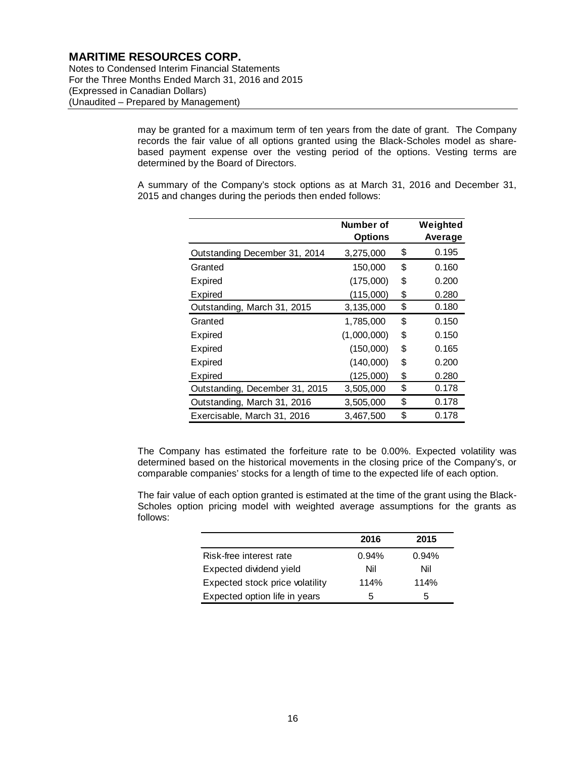Notes to Condensed Interim Financial Statements For the Three Months Ended March 31, 2016 and 2015 (Expressed in Canadian Dollars) (Unaudited – Prepared by Management)

> may be granted for a maximum term of ten years from the date of grant. The Company records the fair value of all options granted using the Black-Scholes model as sharebased payment expense over the vesting period of the options. Vesting terms are determined by the Board of Directors.

> A summary of the Company's stock options as at March 31, 2016 and December 31, 2015 and changes during the periods then ended follows:

|                                | Number of<br><b>Options</b> | Weighted<br>Average |
|--------------------------------|-----------------------------|---------------------|
| Outstanding December 31, 2014  | 3,275,000                   | \$<br>0.195         |
| Granted                        | 150,000                     | \$<br>0.160         |
| Expired                        | (175,000)                   | \$<br>0.200         |
| Expired                        | (115,000)                   | \$<br>0.280         |
| Outstanding, March 31, 2015    | 3,135,000                   | \$<br>0.180         |
| Granted                        | 1,785,000                   | \$<br>0.150         |
| Expired                        | (1,000,000)                 | \$<br>0.150         |
| Expired                        | (150,000)                   | \$<br>0.165         |
| Expired                        | (140,000)                   | \$<br>0.200         |
| Expired                        | (125,000)                   | \$<br>0.280         |
| Outstanding, December 31, 2015 | 3,505,000                   | \$<br>0.178         |
| Outstanding, March 31, 2016    | 3,505,000                   | \$<br>0.178         |
| Exercisable, March 31, 2016    | 3,467,500                   | \$<br>0.178         |

The Company has estimated the forfeiture rate to be 0.00%. Expected volatility was determined based on the historical movements in the closing price of the Company's, or comparable companies' stocks for a length of time to the expected life of each option.

The fair value of each option granted is estimated at the time of the grant using the Black-Scholes option pricing model with weighted average assumptions for the grants as follows:

|                                 | 2016  | 2015  |
|---------------------------------|-------|-------|
| Risk-free interest rate         | 0.94% | 0.94% |
| Expected dividend yield         | Nil   | Nil   |
| Expected stock price volatility | 114%  | 114%  |
| Expected option life in years   | 5     | 5     |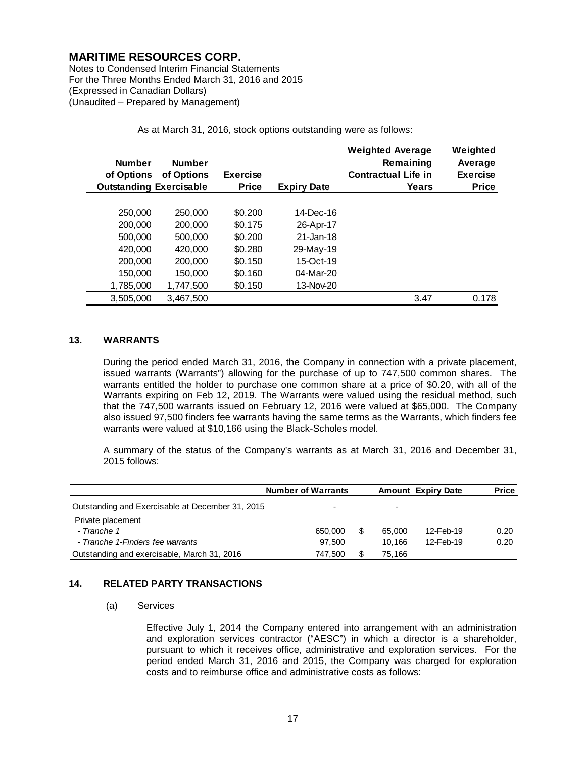Notes to Condensed Interim Financial Statements For the Three Months Ended March 31, 2016 and 2015 (Expressed in Canadian Dollars) (Unaudited – Prepared by Management)

| <b>Number</b><br>of Options<br><b>Outstanding Exercisable</b> | <b>Number</b><br>of Options | <b>Exercise</b><br><b>Price</b> | <b>Expiry Date</b> | <b>Weighted Average</b><br>Remaining<br><b>Contractual Life in</b><br>Years | Weighted<br>Average<br><b>Exercise</b><br><b>Price</b> |
|---------------------------------------------------------------|-----------------------------|---------------------------------|--------------------|-----------------------------------------------------------------------------|--------------------------------------------------------|
|                                                               |                             |                                 |                    |                                                                             |                                                        |
| 250,000                                                       | 250,000                     | \$0.200                         | 14-Dec-16          |                                                                             |                                                        |
| 200,000                                                       | 200,000                     | \$0.175                         | 26-Apr-17          |                                                                             |                                                        |
| 500,000                                                       | 500,000                     | \$0.200                         | 21-Jan-18          |                                                                             |                                                        |
| 420,000                                                       | 420,000                     | \$0.280                         | 29-May-19          |                                                                             |                                                        |
| 200,000                                                       | 200,000                     | \$0.150                         | 15-Oct-19          |                                                                             |                                                        |
| 150,000                                                       | 150,000                     | \$0.160                         | 04-Mar-20          |                                                                             |                                                        |
| 1,785,000                                                     | 1,747,500                   | \$0.150                         | 13-Nov-20          |                                                                             |                                                        |
| 3.505.000                                                     | 3,467,500                   |                                 |                    | 3.47                                                                        | 0.178                                                  |

As at March 31, 2016, stock options outstanding were as follows:

#### **13. WARRANTS**

During the period ended March 31, 2016, the Company in connection with a private placement, issued warrants (Warrants") allowing for the purchase of up to 747,500 common shares. The warrants entitled the holder to purchase one common share at a price of \$0.20, with all of the Warrants expiring on Feb 12, 2019. The Warrants were valued using the residual method, such that the 747,500 warrants issued on February 12, 2016 were valued at \$65,000. The Company also issued 97,500 finders fee warrants having the same terms as the Warrants, which finders fee warrants were valued at \$10,166 using the Black-Scholes model.

A summary of the status of the Company's warrants as at March 31, 2016 and December 31, 2015 follows:

|                                                  | <b>Number of Warrants</b> |   |        | <b>Amount Expiry Date</b> | <b>Price</b> |
|--------------------------------------------------|---------------------------|---|--------|---------------------------|--------------|
| Outstanding and Exercisable at December 31, 2015 | ۰                         |   | ٠      |                           |              |
| Private placement                                |                           |   |        |                           |              |
| - Tranche 1                                      | 650.000                   | S | 65,000 | 12-Feb-19                 | 0.20         |
| - Tranche 1-Finders fee warrants                 | 97.500                    |   | 10.166 | 12-Feb-19                 | 0.20         |
| Outstanding and exercisable, March 31, 2016      | 747.500                   |   | 75.166 |                           |              |

#### **14. RELATED PARTY TRANSACTIONS**

#### (a) Services

Effective July 1, 2014 the Company entered into arrangement with an administration and exploration services contractor ("AESC") in which a director is a shareholder, pursuant to which it receives office, administrative and exploration services. For the period ended March 31, 2016 and 2015, the Company was charged for exploration costs and to reimburse office and administrative costs as follows: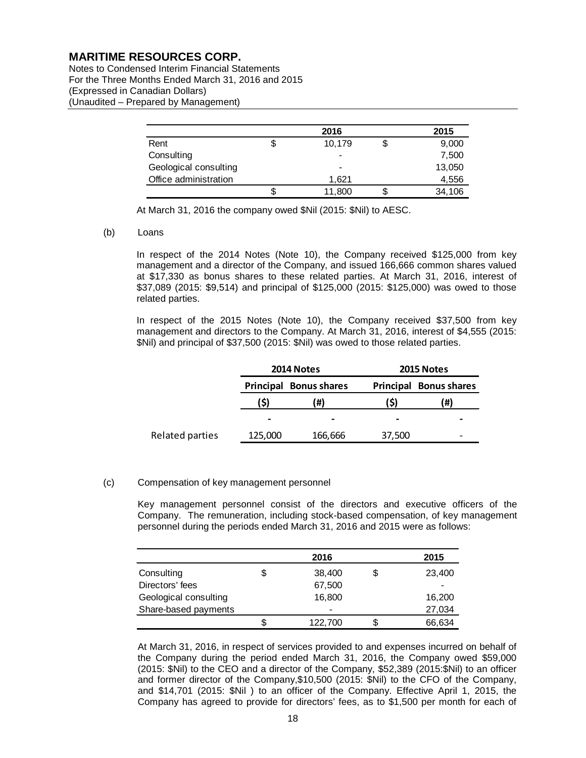Notes to Condensed Interim Financial Statements For the Three Months Ended March 31, 2016 and 2015 (Expressed in Canadian Dollars) (Unaudited – Prepared by Management)

|                       | 2016 |                |  | 2015   |  |
|-----------------------|------|----------------|--|--------|--|
| Rent                  |      | 10,179         |  | 9,000  |  |
| Consulting            |      | $\blacksquare$ |  | 7,500  |  |
| Geological consulting |      | $\blacksquare$ |  | 13,050 |  |
| Office administration |      | 1.621          |  | 4,556  |  |
|                       |      | 11,800         |  | 34,106 |  |

At March 31, 2016 the company owed \$Nil (2015: \$Nil) to AESC.

#### (b) Loans

In respect of the 2014 Notes (Note 10), the Company received \$125,000 from key management and a director of the Company, and issued 166,666 common shares valued at \$17,330 as bonus shares to these related parties. At March 31, 2016, interest of \$37,089 (2015: \$9,514) and principal of \$125,000 (2015: \$125,000) was owed to those related parties.

In respect of the 2015 Notes (Note 10), the Company received \$37,500 from key management and directors to the Company. At March 31, 2016, interest of \$4,555 (2015: \$Nil) and principal of \$37,500 (2015: \$Nil) was owed to those related parties.

|                 | 2014 Notes |                     | 2015 Notes               |                     |  |
|-----------------|------------|---------------------|--------------------------|---------------------|--|
|                 | Principal  | <b>Bonus shares</b> | Principal                | <b>Bonus shares</b> |  |
|                 | (\$)       | (#)                 | S)                       | (#)                 |  |
|                 | -          |                     | $\overline{\phantom{0}}$ |                     |  |
| Related parties | 125,000    | 166,666             | 37,500                   |                     |  |

#### (c) Compensation of key management personnel

Key management personnel consist of the directors and executive officers of the Company. The remuneration, including stock-based compensation, of key management personnel during the periods ended March 31, 2016 and 2015 were as follows:

|                       |    | 2016                     |    | 2015   |
|-----------------------|----|--------------------------|----|--------|
| Consulting            | \$ | 38,400                   | \$ | 23,400 |
| Directors' fees       |    | 67,500                   |    |        |
| Geological consulting |    | 16,800                   |    | 16,200 |
| Share-based payments  |    | $\overline{\phantom{0}}$ |    | 27,034 |
|                       | S  | 122,700                  | S  | 66,634 |

At March 31, 2016, in respect of services provided to and expenses incurred on behalf of the Company during the period ended March 31, 2016, the Company owed \$59,000 (2015: \$Nil) to the CEO and a director of the Company, \$52,389 (2015:\$Nil) to an officer and former director of the Company,\$10,500 (2015: \$Nil) to the CFO of the Company, and \$14,701 (2015: \$Nil ) to an officer of the Company. Effective April 1, 2015, the Company has agreed to provide for directors' fees, as to \$1,500 per month for each of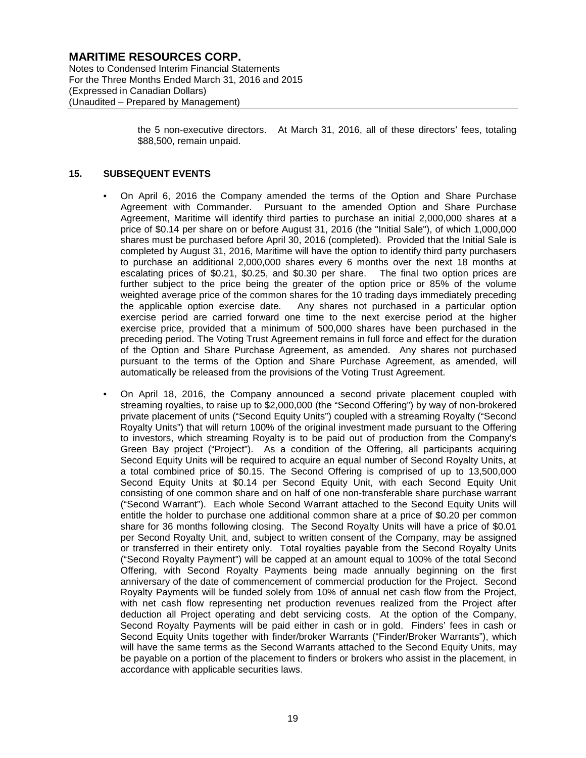Notes to Condensed Interim Financial Statements For the Three Months Ended March 31, 2016 and 2015 (Expressed in Canadian Dollars) (Unaudited – Prepared by Management)

> the 5 non-executive directors. At March 31, 2016, all of these directors' fees, totaling \$88,500, remain unpaid.

#### **15. SUBSEQUENT EVENTS**

- On April 6, 2016 the Company amended the terms of the Option and Share Purchase Agreement with Commander. Pursuant to the amended Option and Share Purchase Agreement, Maritime will identify third parties to purchase an initial 2,000,000 shares at a price of \$0.14 per share on or before August 31, 2016 (the "Initial Sale"), of which 1,000,000 shares must be purchased before April 30, 2016 (completed). Provided that the Initial Sale is completed by August 31, 2016, Maritime will have the option to identify third party purchasers to purchase an additional 2,000,000 shares every 6 months over the next 18 months at escalating prices of \$0.21, \$0.25, and \$0.30 per share. The final two option prices are further subject to the price being the greater of the option price or 85% of the volume weighted average price of the common shares for the 10 trading days immediately preceding the applicable option exercise date. Any shares not purchased in a particular option exercise period are carried forward one time to the next exercise period at the higher exercise price, provided that a minimum of 500,000 shares have been purchased in the preceding period. The Voting Trust Agreement remains in full force and effect for the duration of the Option and Share Purchase Agreement, as amended. Any shares not purchased pursuant to the terms of the Option and Share Purchase Agreement, as amended, will automatically be released from the provisions of the Voting Trust Agreement.
- On April 18, 2016, the Company announced a second private placement coupled with streaming royalties, to raise up to \$2,000,000 (the "Second Offering") by way of non-brokered private placement of units ("Second Equity Units") coupled with a streaming Royalty ("Second Royalty Units") that will return 100% of the original investment made pursuant to the Offering to investors, which streaming Royalty is to be paid out of production from the Company's Green Bay project ("Project"). As a condition of the Offering, all participants acquiring Second Equity Units will be required to acquire an equal number of Second Royalty Units, at a total combined price of \$0.15. The Second Offering is comprised of up to 13,500,000 Second Equity Units at \$0.14 per Second Equity Unit, with each Second Equity Unit consisting of one common share and on half of one non-transferable share purchase warrant ("Second Warrant"). Each whole Second Warrant attached to the Second Equity Units will entitle the holder to purchase one additional common share at a price of \$0.20 per common share for 36 months following closing. The Second Royalty Units will have a price of \$0.01 per Second Royalty Unit, and, subject to written consent of the Company, may be assigned or transferred in their entirety only. Total royalties payable from the Second Royalty Units ("Second Royalty Payment") will be capped at an amount equal to 100% of the total Second Offering, with Second Royalty Payments being made annually beginning on the first anniversary of the date of commencement of commercial production for the Project. Second Royalty Payments will be funded solely from 10% of annual net cash flow from the Project, with net cash flow representing net production revenues realized from the Project after deduction all Project operating and debt servicing costs. At the option of the Company, Second Royalty Payments will be paid either in cash or in gold. Finders' fees in cash or Second Equity Units together with finder/broker Warrants ("Finder/Broker Warrants"), which will have the same terms as the Second Warrants attached to the Second Equity Units, may be payable on a portion of the placement to finders or brokers who assist in the placement, in accordance with applicable securities laws.